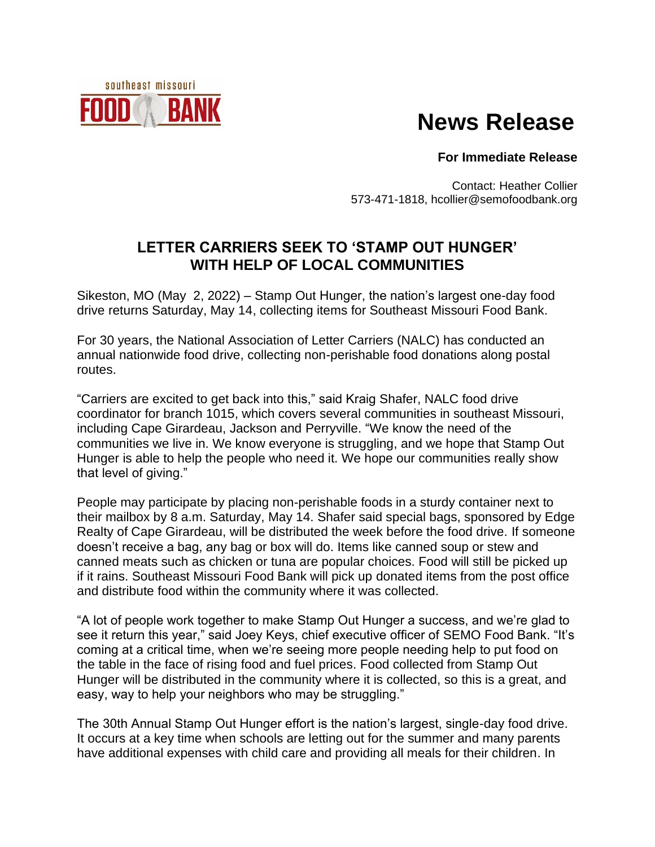

## **News Release**

**For Immediate Release**

Contact: Heather Collier 573-471-1818, hcollier@semofoodbank.org

## **LETTER CARRIERS SEEK TO 'STAMP OUT HUNGER' WITH HELP OF LOCAL COMMUNITIES**

Sikeston, MO (May 2, 2022) – Stamp Out Hunger, the nation's largest one-day food drive returns Saturday, May 14, collecting items for Southeast Missouri Food Bank.

For 30 years, the National Association of Letter Carriers (NALC) has conducted an annual nationwide food drive, collecting non-perishable food donations along postal routes.

"Carriers are excited to get back into this," said Kraig Shafer, NALC food drive coordinator for branch 1015, which covers several communities in southeast Missouri, including Cape Girardeau, Jackson and Perryville. "We know the need of the communities we live in. We know everyone is struggling, and we hope that Stamp Out Hunger is able to help the people who need it. We hope our communities really show that level of giving."

People may participate by placing non-perishable foods in a sturdy container next to their mailbox by 8 a.m. Saturday, May 14. Shafer said special bags, sponsored by Edge Realty of Cape Girardeau, will be distributed the week before the food drive. If someone doesn't receive a bag, any bag or box will do. Items like canned soup or stew and canned meats such as chicken or tuna are popular choices. Food will still be picked up if it rains. Southeast Missouri Food Bank will pick up donated items from the post office and distribute food within the community where it was collected.

"A lot of people work together to make Stamp Out Hunger a success, and we're glad to see it return this year," said Joey Keys, chief executive officer of SEMO Food Bank. "It's coming at a critical time, when we're seeing more people needing help to put food on the table in the face of rising food and fuel prices. Food collected from Stamp Out Hunger will be distributed in the community where it is collected, so this is a great, and easy, way to help your neighbors who may be struggling."

The 30th Annual Stamp Out Hunger effort is the nation's largest, single-day food drive. It occurs at a key time when schools are letting out for the summer and many parents have additional expenses with child care and providing all meals for their children. In